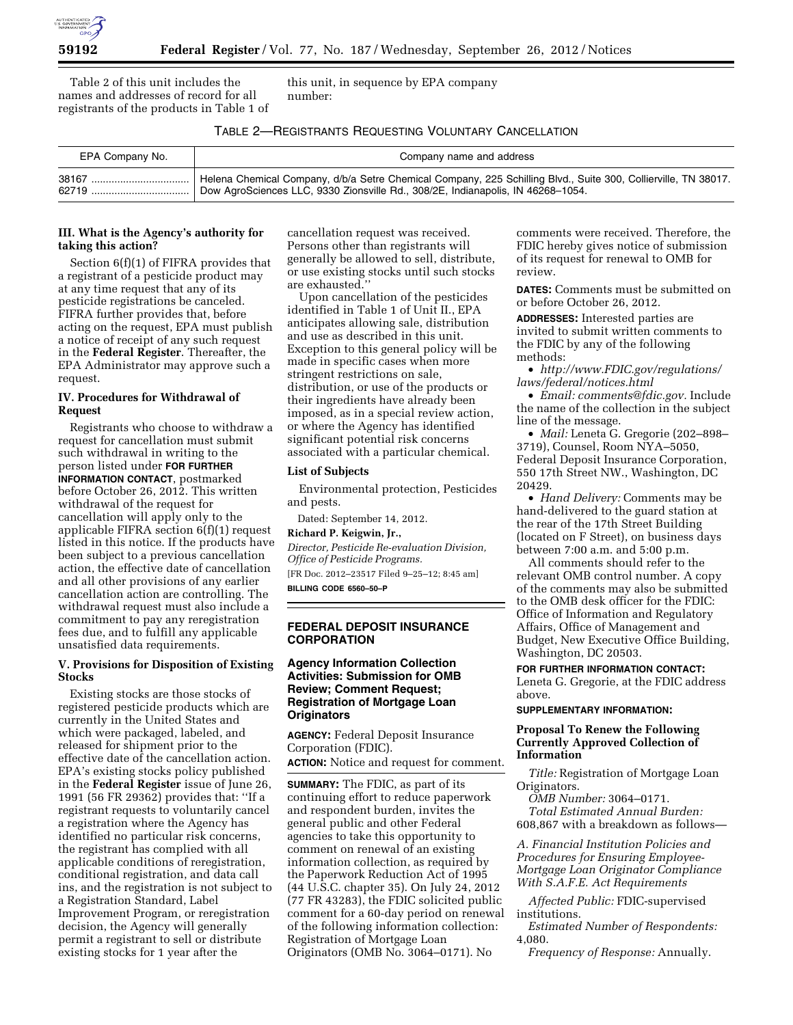

Table 2 of this unit includes the names and addresses of record for all registrants of the products in Table 1 of this unit, in sequence by EPA company number:

### TABLE 2—REGISTRANTS REQUESTING VOLUNTARY CANCELLATION

| EPA Company No. | Company name and address                                                                                       |
|-----------------|----------------------------------------------------------------------------------------------------------------|
| 38167           | Helena Chemical Company, d/b/a Setre Chemical Company, 225 Schilling Blvd., Suite 300, Collierville, TN 38017. |
| 62719           | Dow AgroSciences LLC, 9330 Zionsville Rd., 308/2E, Indianapolis, IN 46268-1054.                                |

## **III. What is the Agency's authority for taking this action?**

Section 6(f)(1) of FIFRA provides that a registrant of a pesticide product may at any time request that any of its pesticide registrations be canceled. FIFRA further provides that, before acting on the request, EPA must publish a notice of receipt of any such request in the **Federal Register**. Thereafter, the EPA Administrator may approve such a request.

## **IV. Procedures for Withdrawal of Request**

Registrants who choose to withdraw a request for cancellation must submit such withdrawal in writing to the person listed under **FOR FURTHER INFORMATION CONTACT**, postmarked before October 26, 2012. This written withdrawal of the request for cancellation will apply only to the applicable FIFRA section 6(f)(1) request listed in this notice. If the products have been subject to a previous cancellation action, the effective date of cancellation and all other provisions of any earlier cancellation action are controlling. The withdrawal request must also include a commitment to pay any reregistration fees due, and to fulfill any applicable unsatisfied data requirements.

#### **V. Provisions for Disposition of Existing Stocks**

Existing stocks are those stocks of registered pesticide products which are currently in the United States and which were packaged, labeled, and released for shipment prior to the effective date of the cancellation action. EPA's existing stocks policy published in the **Federal Register** issue of June 26, 1991 (56 FR 29362) provides that: ''If a registrant requests to voluntarily cancel a registration where the Agency has identified no particular risk concerns, the registrant has complied with all applicable conditions of reregistration, conditional registration, and data call ins, and the registration is not subject to a Registration Standard, Label Improvement Program, or reregistration decision, the Agency will generally permit a registrant to sell or distribute existing stocks for 1 year after the

cancellation request was received. Persons other than registrants will generally be allowed to sell, distribute, or use existing stocks until such stocks are exhausted.''

Upon cancellation of the pesticides identified in Table 1 of Unit II., EPA anticipates allowing sale, distribution and use as described in this unit. Exception to this general policy will be made in specific cases when more stringent restrictions on sale, distribution, or use of the products or their ingredients have already been imposed, as in a special review action, or where the Agency has identified significant potential risk concerns associated with a particular chemical.

#### **List of Subjects**

Environmental protection, Pesticides and pests.

Dated: September 14, 2012.

## **Richard P. Keigwin, Jr.,**

*Director, Pesticide Re-evaluation Division, Office of Pesticide Programs.*  [FR Doc. 2012–23517 Filed 9–25–12; 8:45 am] **BILLING CODE 6560–50–P** 

# **FEDERAL DEPOSIT INSURANCE CORPORATION**

# **Agency Information Collection Activities: Submission for OMB Review; Comment Request; Registration of Mortgage Loan Originators**

**AGENCY:** Federal Deposit Insurance Corporation (FDIC).

**ACTION:** Notice and request for comment.

**SUMMARY:** The FDIC, as part of its continuing effort to reduce paperwork and respondent burden, invites the general public and other Federal agencies to take this opportunity to comment on renewal of an existing information collection, as required by the Paperwork Reduction Act of 1995 (44 U.S.C. chapter 35). On July 24, 2012 (77 FR 43283), the FDIC solicited public comment for a 60-day period on renewal of the following information collection: Registration of Mortgage Loan Originators (OMB No. 3064–0171). No

comments were received. Therefore, the FDIC hereby gives notice of submission of its request for renewal to OMB for review.

**DATES:** Comments must be submitted on or before October 26, 2012.

**ADDRESSES:** Interested parties are invited to submit written comments to the FDIC by any of the following methods:

• *[http://www.FDIC.gov/regulations/](http://www.FDIC.gov/regulations/laws/federal/notices.html) [laws/federal/notices.html](http://www.FDIC.gov/regulations/laws/federal/notices.html)* 

• *Email: [comments@fdic.gov.](mailto:comments@fdic.gov)* Include the name of the collection in the subject line of the message.

• *Mail:* Leneta G. Gregorie (202–898– 3719), Counsel, Room NYA–5050, Federal Deposit Insurance Corporation, 550 17th Street NW., Washington, DC 20429.

• *Hand Delivery:* Comments may be hand-delivered to the guard station at the rear of the 17th Street Building (located on F Street), on business days between 7:00 a.m. and 5:00 p.m.

All comments should refer to the relevant OMB control number. A copy of the comments may also be submitted to the OMB desk officer for the FDIC: Office of Information and Regulatory Affairs, Office of Management and Budget, New Executive Office Building, Washington, DC 20503.

**FOR FURTHER INFORMATION CONTACT:**  Leneta G. Gregorie, at the FDIC address above.

#### **SUPPLEMENTARY INFORMATION:**

## **Proposal To Renew the Following Currently Approved Collection of Information**

*Title:* Registration of Mortgage Loan Originators.

*OMB Number:* 3064–0171. *Total Estimated Annual Burden:*  608,867 with a breakdown as follows—

*A. Financial Institution Policies and Procedures for Ensuring Employee-Mortgage Loan Originator Compliance With S.A.F.E. Act Requirements* 

*Affected Public:* FDIC-supervised institutions.

*Estimated Number of Respondents:*  4,080.

*Frequency of Response:* Annually.